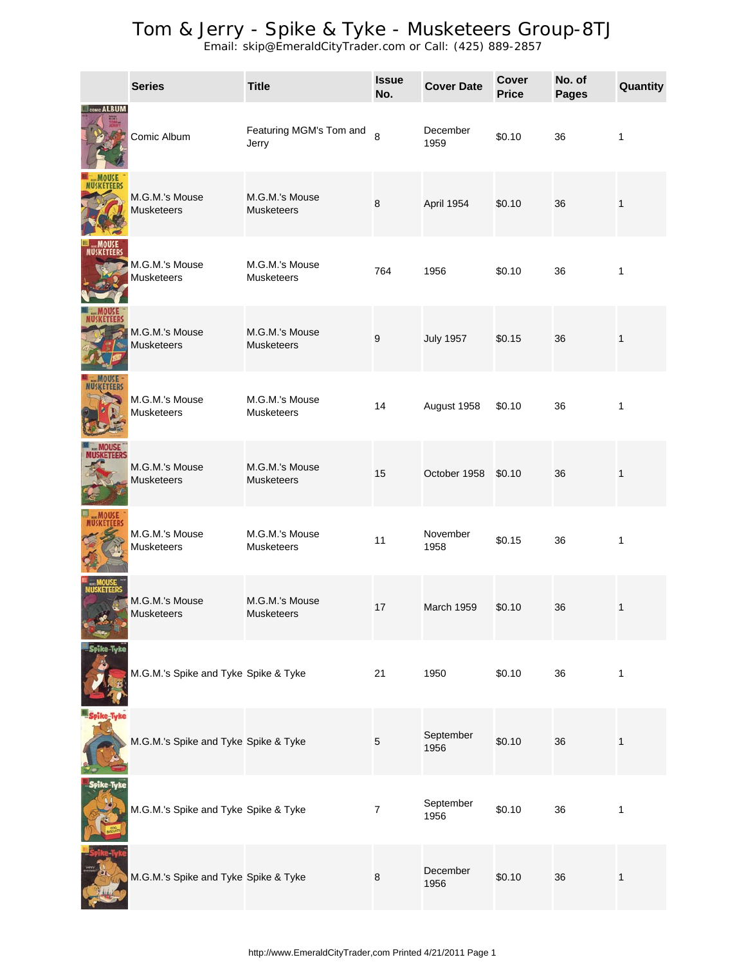|                    | <b>Series</b>                        | <b>Title</b>                        | <b>Issue</b><br>No. | <b>Cover Date</b> | Cover<br><b>Price</b> | No. of<br><b>Pages</b> | Quantity     |
|--------------------|--------------------------------------|-------------------------------------|---------------------|-------------------|-----------------------|------------------------|--------------|
| <b>COMIC ALBUN</b> | Comic Album                          | Featuring MGM's Tom and<br>Jerry    | 8                   | December<br>1959  | \$0.10                | 36                     | 1            |
|                    | M.G.M.'s Mouse<br><b>Musketeers</b>  | M.G.M.'s Mouse<br><b>Musketeers</b> | $\bf 8$             | April 1954        | \$0.10                | 36                     | 1            |
|                    | M.G.M.'s Mouse<br><b>Musketeers</b>  | M.G.M.'s Mouse<br><b>Musketeers</b> | 764                 | 1956              | \$0.10                | 36                     | 1            |
| ataans             | M.G.M.'s Mouse<br><b>Musketeers</b>  | M.G.M.'s Mouse<br><b>Musketeers</b> | $\boldsymbol{9}$    | <b>July 1957</b>  | \$0.15                | 36                     | 1            |
|                    | M.G.M.'s Mouse<br><b>Musketeers</b>  | M.G.M.'s Mouse<br><b>Musketeers</b> | 14                  | August 1958       | \$0.10                | 36                     | 1            |
| MUSKETEERS         | M.G.M.'s Mouse<br><b>Musketeers</b>  | M.G.M.'s Mouse<br><b>Musketeers</b> | 15                  | October 1958      | \$0.10                | 36                     | 1            |
|                    | M.G.M.'s Mouse<br>Musketeers         | M.G.M.'s Mouse<br><b>Musketeers</b> | 11                  | November<br>1958  | \$0.15                | 36                     | $\mathbf{1}$ |
|                    | M.G.M.'s Mouse<br>Musketeers         | M.G.M.'s Mouse<br>Musketeers        | 17                  | <b>March 1959</b> | \$0.10                | 36                     | $\mathbf{1}$ |
|                    | M.G.M.'s Spike and Tyke Spike & Tyke |                                     | 21                  | 1950              | \$0.10                | 36                     | $\mathbf{1}$ |
| ike-Tyke           | M.G.M.'s Spike and Tyke Spike & Tyke |                                     | $\mathbf 5$         | September<br>1956 | \$0.10                | 36                     | $\mathbf{1}$ |
| Spike Tyke         | M.G.M.'s Spike and Tyke Spike & Tyke |                                     | $\overline{7}$      | September<br>1956 | \$0.10                | 36                     | $\mathbf{1}$ |
|                    | M.G.M.'s Spike and Tyke Spike & Tyke |                                     | 8                   | December<br>1956  | \$0.10                | 36                     | $\mathbf{1}$ |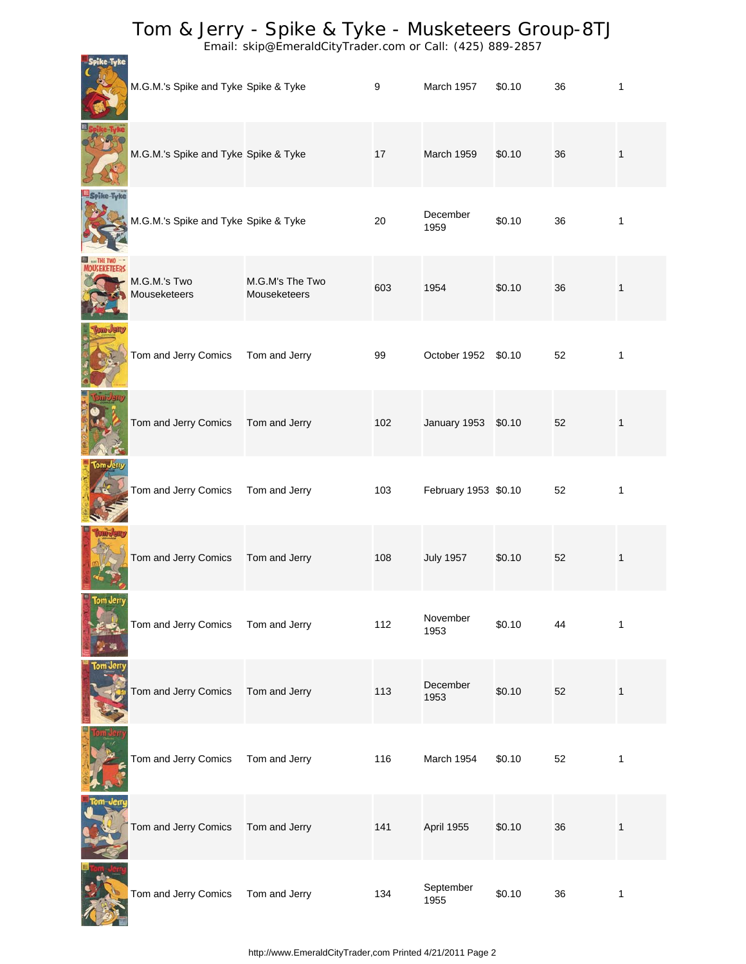|           | M.G.M.'s Spike and Tyke Spike & Tyke |                                 | 9   | March 1957           | \$0.10 | 36 | 1            |
|-----------|--------------------------------------|---------------------------------|-----|----------------------|--------|----|--------------|
|           | M.G.M.'s Spike and Tyke Spike & Tyke |                                 | 17  | March 1959           | \$0.10 | 36 | 1            |
|           | M.G.M.'s Spike and Tyke Spike & Tyke |                                 | 20  | December<br>1959     | \$0.10 | 36 | $\mathbf{1}$ |
|           | M.G.M.'s Two<br>Mouseketeers         | M.G.M's The Two<br>Mouseketeers | 603 | 1954                 | \$0.10 | 36 | 1            |
|           | Tom and Jerry Comics                 | Tom and Jerry                   | 99  | October 1952 \$0.10  |        | 52 | 1            |
|           | Tom and Jerry Comics                 | Tom and Jerry                   | 102 | January 1953 \$0.10  |        | 52 | 1            |
| Com Jer   | Tom and Jerry Comics                 | Tom and Jerry                   | 103 | February 1953 \$0.10 |        | 52 | 1            |
|           | Tom and Jerry Comics                 | Tom and Jerry                   | 108 | <b>July 1957</b>     | \$0.10 | 52 | 1            |
| tom Jerry | Tom and Jerry Comics                 | Tom and Jerry                   | 112 | November<br>1953     | \$0.10 | 44 | 1            |
| om Jerry  | Tom and Jerry Comics                 | Tom and Jerry                   | 113 | December<br>1953     | \$0.10 | 52 | $\mathbf{1}$ |
|           | Tom and Jerry Comics                 | Tom and Jerry                   | 116 | March 1954           | \$0.10 | 52 | 1            |
|           | Tom and Jerry Comics                 | Tom and Jerry                   | 141 | April 1955           | \$0.10 | 36 | $\mathbf{1}$ |
|           | Tom and Jerry Comics                 | Tom and Jerry                   | 134 | September<br>1955    | \$0.10 | 36 | $\mathbf{1}$ |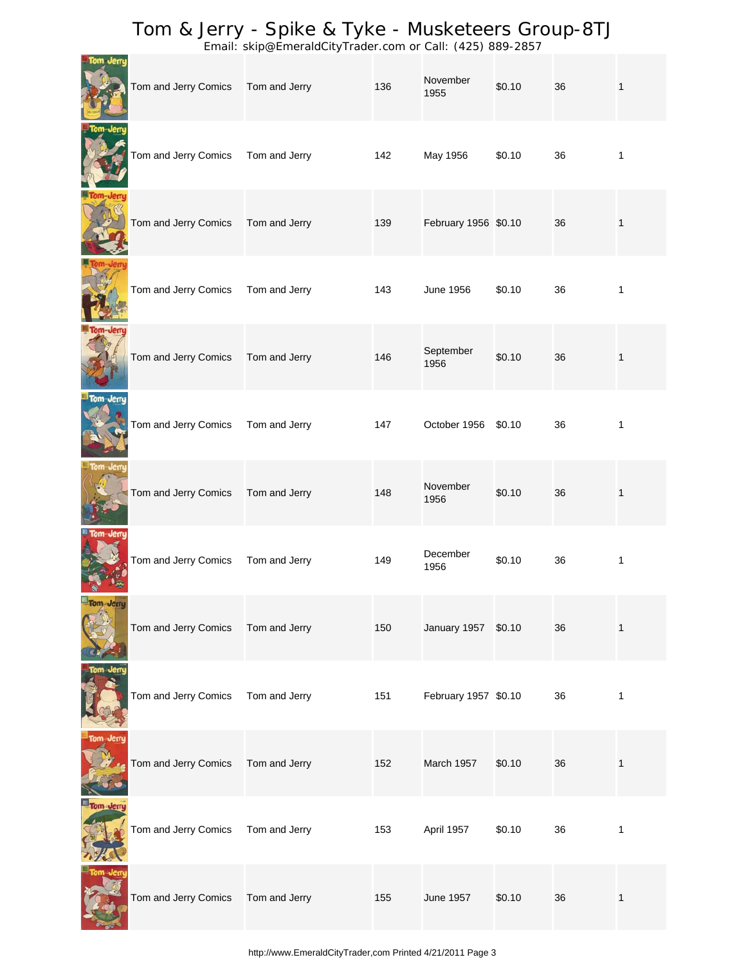|           | Tom and Jerry Comics | Tom and Jerry | 136 | November<br>1955     | \$0.10 | 36 | $\mathbf{1}$ |
|-----------|----------------------|---------------|-----|----------------------|--------|----|--------------|
|           | Tom and Jerry Comics | Tom and Jerry | 142 | May 1956             | \$0.10 | 36 | $\mathbf{1}$ |
| om-Jerru  | Tom and Jerry Comics | Tom and Jerry | 139 | February 1956 \$0.10 |        | 36 | $\mathbf{1}$ |
|           | Tom and Jerry Comics | Tom and Jerry | 143 | <b>June 1956</b>     | \$0.10 | 36 | 1            |
|           | Tom and Jerry Comics | Tom and Jerry | 146 | September<br>1956    | \$0.10 | 36 | $\mathbf{1}$ |
| Tom-Jerru | Tom and Jerry Comics | Tom and Jerry | 147 | October 1956         | \$0.10 | 36 | 1            |
|           | Tom and Jerry Comics | Tom and Jerry | 148 | November<br>1956     | \$0.10 | 36 | $\mathbf{1}$ |
|           | Tom and Jerry Comics | Tom and Jerry | 149 | December<br>1956     | \$0.10 | 36 | $\mathbf{1}$ |
| Tom Jerry | Tom and Jerry Comics | Tom and Jerry | 150 | January 1957 \$0.10  |        | 36 | $\mathbf{1}$ |
| Tom Jerry | Tom and Jerry Comics | Tom and Jerry | 151 | February 1957 \$0.10 |        | 36 | $\mathbf{1}$ |
| Tom Jerry | Tom and Jerry Comics | Tom and Jerry | 152 | March 1957           | \$0.10 | 36 | $\mathbf{1}$ |
| Tom Jerry | Tom and Jerry Comics | Tom and Jerry | 153 | April 1957           | \$0.10 | 36 | $\mathbf{1}$ |
|           | Tom and Jerry Comics | Tom and Jerry | 155 | <b>June 1957</b>     | \$0.10 | 36 | $\mathbf{1}$ |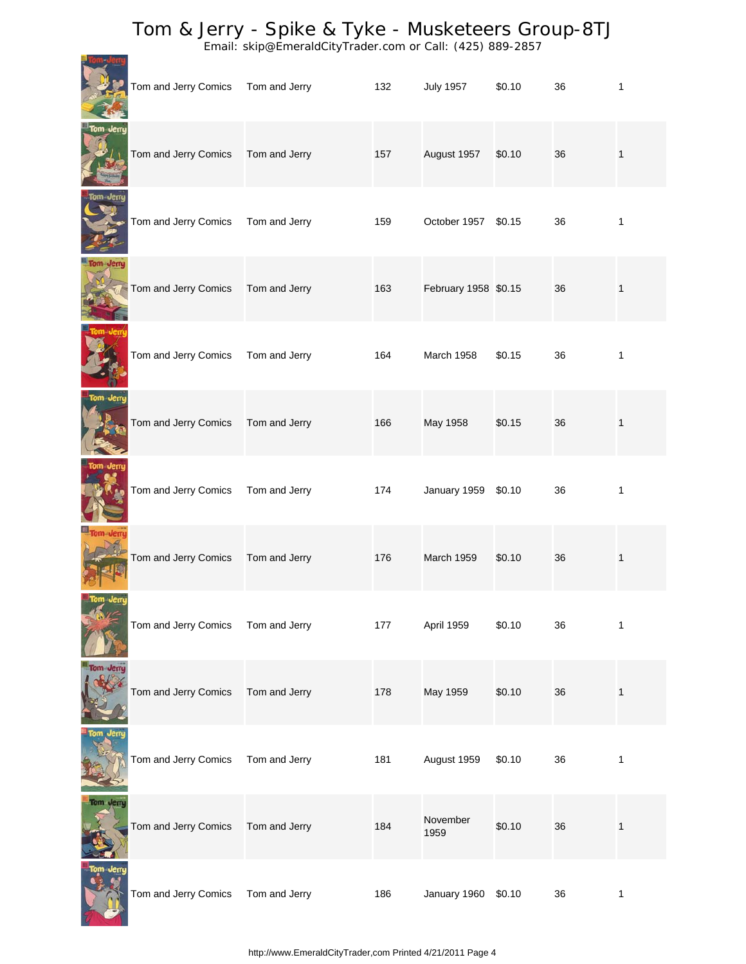Email: skip@EmeraldCityTrader.com or Call: (425) 889-2857

**Tom-Jerry** 

|           | Tom and Jerry Comics | Tom and Jerry | 132 | <b>July 1957</b>     | \$0.10 | 36 | 1            |
|-----------|----------------------|---------------|-----|----------------------|--------|----|--------------|
| Tom Jerry | Tom and Jerry Comics | Tom and Jerry | 157 | August 1957          | \$0.10 | 36 | 1            |
|           | Tom and Jerry Comics | Tom and Jerry | 159 | October 1957 \$0.15  |        | 36 | 1            |
| Tom Jerry | Tom and Jerry Comics | Tom and Jerry | 163 | February 1958 \$0.15 |        | 36 | 1            |
|           | Tom and Jerry Comics | Tom and Jerry | 164 | March 1958           | \$0.15 | 36 | $\mathbf{1}$ |
| Tom Jerry | Tom and Jerry Comics | Tom and Jerry | 166 | May 1958             | \$0.15 | 36 | $\mathbf{1}$ |
|           | Tom and Jerry Comics | Tom and Jerry | 174 | January 1959         | \$0.10 | 36 | 1            |
| Tom-Jerry | Tom and Jerry Comics | Tom and Jerry | 176 | March 1959           | \$0.10 | 36 | $\mathbf{1}$ |
|           | Tom and Jerry Comics | Tom and Jerry | 177 | April 1959           | \$0.10 | 36 | 1            |
| Tom Jerry | Tom and Jerry Comics | Tom and Jerry | 178 | May 1959             | \$0.10 | 36 | $\mathbf{1}$ |
|           | Tom and Jerry Comics | Tom and Jerry | 181 | August 1959          | \$0.10 | 36 | 1            |
|           | Tom and Jerry Comics | Tom and Jerry | 184 | November<br>1959     | \$0.10 | 36 | $\mathbf{1}$ |
| fom Jerry | Tom and Jerry Comics | Tom and Jerry | 186 | January 1960 \$0.10  |        | 36 | 1            |